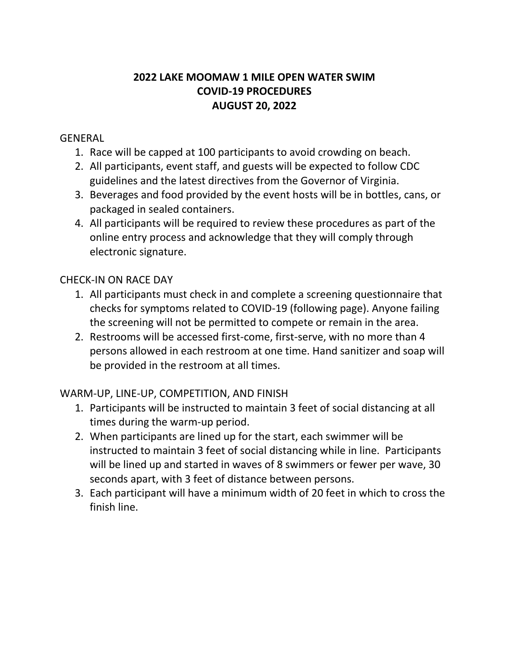# **2022 LAKE MOOMAW 1 MILE OPEN WATER SWIM COVID-19 PROCEDURES AUGUST 20, 2022**

#### GENERAL

- 1. Race will be capped at 100 participants to avoid crowding on beach.
- 2. All participants, event staff, and guests will be expected to follow CDC guidelines and the latest directives from the Governor of Virginia.
- 3. Beverages and food provided by the event hosts will be in bottles, cans, or packaged in sealed containers.
- 4. All participants will be required to review these procedures as part of the online entry process and acknowledge that they will comply through electronic signature.

## CHECK-IN ON RACE DAY

- 1. All participants must check in and complete a screening questionnaire that checks for symptoms related to COVID-19 (following page). Anyone failing the screening will not be permitted to compete or remain in the area.
- 2. Restrooms will be accessed first-come, first-serve, with no more than 4 persons allowed in each restroom at one time. Hand sanitizer and soap will be provided in the restroom at all times.

## WARM-UP, LINE-UP, COMPETITION, AND FINISH

- 1. Participants will be instructed to maintain 3 feet of social distancing at all times during the warm-up period.
- 2. When participants are lined up for the start, each swimmer will be instructed to maintain 3 feet of social distancing while in line. Participants will be lined up and started in waves of 8 swimmers or fewer per wave, 30 seconds apart, with 3 feet of distance between persons.
- 3. Each participant will have a minimum width of 20 feet in which to cross the finish line.